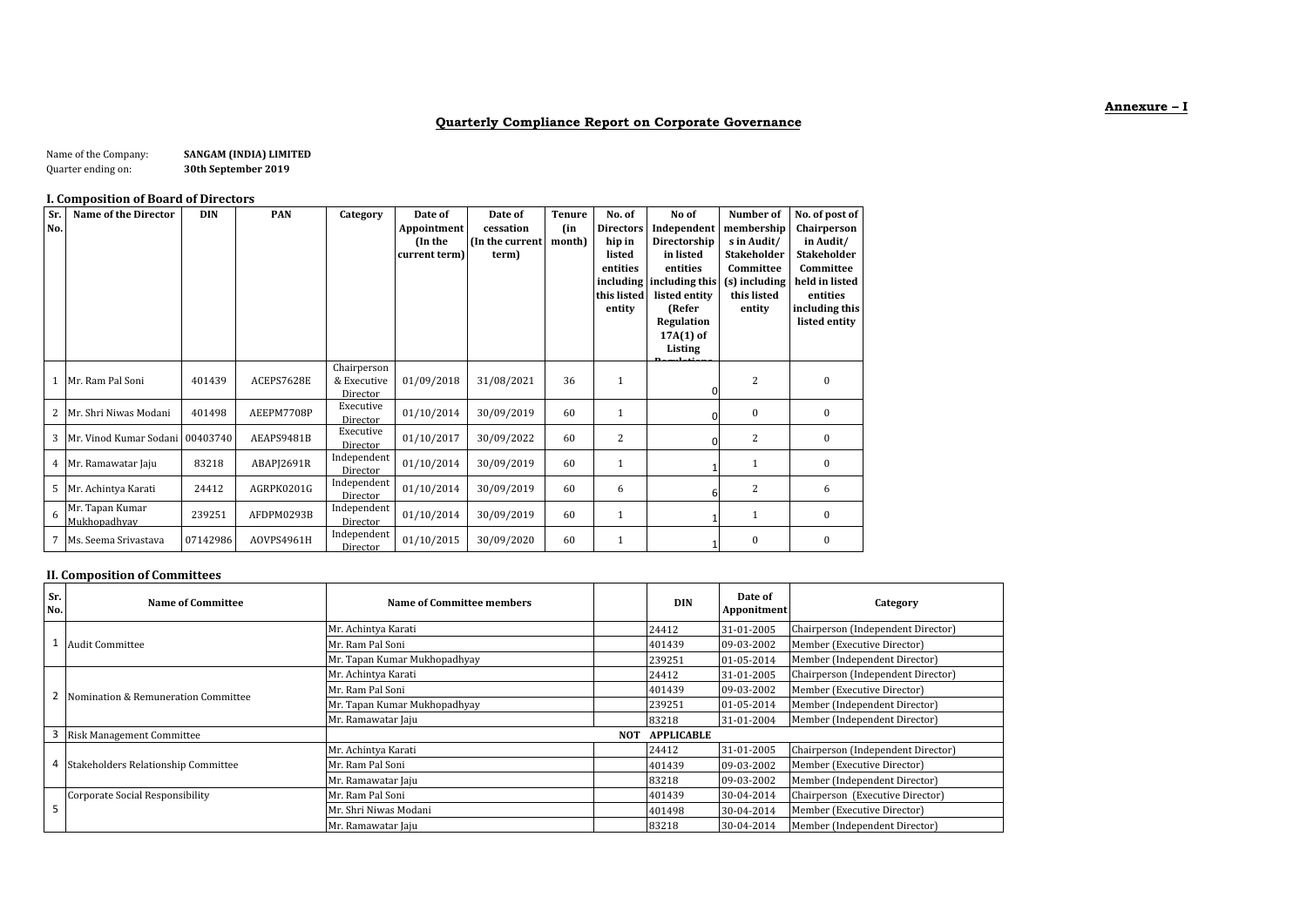## **Annexure – I**

# **Quarterly Compliance Report on Corporate Governance**

| Name of the Company: | SANGAM (INDIA) LIMITED |
|----------------------|------------------------|
| Quarter ending on:   | 30th September 2019    |

### **I. Composition of Board of Directors**

| Sr.<br>No. | <b>Name of the Director</b>     | <b>DIN</b> | PAN        | Category                               | Date of<br>Appointment<br>(In the<br>current term) | Date of<br>cessation<br>(In the current<br>term) | <b>Tenure</b><br>(in<br>month) | No. of<br><b>Directors</b><br>hip in<br>listed<br>entities<br>this listed<br>entity | No of<br>Independent<br>Directorship<br>in listed<br>entities<br>including including this<br>listed entity<br>(Refer<br>Regulation<br>$17A(1)$ of<br>Listing | Number of<br>membership<br>s in Audit/<br><b>Stakeholder</b><br>Committee<br>(s) including<br>this listed<br>entity | No. of post of<br>Chairperson<br>in Audit/<br><b>Stakeholder</b><br>Committee<br>held in listed<br>entities<br>including this<br>listed entity |
|------------|---------------------------------|------------|------------|----------------------------------------|----------------------------------------------------|--------------------------------------------------|--------------------------------|-------------------------------------------------------------------------------------|--------------------------------------------------------------------------------------------------------------------------------------------------------------|---------------------------------------------------------------------------------------------------------------------|------------------------------------------------------------------------------------------------------------------------------------------------|
| 1          | Mr. Ram Pal Soni                | 401439     | ACEPS7628E | Chairperson<br>& Executive<br>Director | 01/09/2018                                         | 31/08/2021                                       | 36                             | 1                                                                                   |                                                                                                                                                              | 2                                                                                                                   | $\theta$                                                                                                                                       |
| 2          | Mr. Shri Niwas Modani           | 401498     | AEEPM7708P | Executive<br>Director                  | 01/10/2014                                         | 30/09/2019                                       | 60                             | 1                                                                                   |                                                                                                                                                              | $\Omega$                                                                                                            | $\mathbf{0}$                                                                                                                                   |
| 3          | Mr. Vinod Kumar Sodani          | 00403740   | AEAPS9481B | Executive<br>Director                  | 01/10/2017                                         | 30/09/2022                                       | 60                             | 2                                                                                   |                                                                                                                                                              | 2                                                                                                                   | $\mathbf{0}$                                                                                                                                   |
| 4          | Mr. Ramawatar Jaju              | 83218      | ABAPJ2691R | Independent<br>Director                | 01/10/2014                                         | 30/09/2019                                       | 60                             | 1                                                                                   |                                                                                                                                                              |                                                                                                                     | $\mathbf{0}$                                                                                                                                   |
| 5          | Mr. Achintya Karati             | 24412      | AGRPK0201G | Independent<br>Director                | 01/10/2014                                         | 30/09/2019                                       | 60                             | 6                                                                                   | 6                                                                                                                                                            | 2                                                                                                                   | 6                                                                                                                                              |
| 6          | Mr. Tapan Kumar<br>Mukhopadhyay | 239251     | AFDPM0293B | Independent<br>Director                | 01/10/2014                                         | 30/09/2019                                       | 60                             | $\mathbf{1}$                                                                        |                                                                                                                                                              |                                                                                                                     | $\mathbf{0}$                                                                                                                                   |
| 7          | Ms. Seema Srivastava            | 07142986   | AOVPS4961H | Independent<br>Director                | 01/10/2015                                         | 30/09/2020                                       | 60                             | 1                                                                                   |                                                                                                                                                              | $\bf{0}$                                                                                                            | $\boldsymbol{0}$                                                                                                                               |

## **II. Composition of Committees**

| Sr.<br>No. | Name of Committee                     | Name of Committee members       |  | <b>DIN</b> | Date of<br>Apponitment | Category                           |
|------------|---------------------------------------|---------------------------------|--|------------|------------------------|------------------------------------|
|            |                                       | Mr. Achintya Karati             |  | 24412      | 31-01-2005             | Chairperson (Independent Director) |
|            | Audit Committee                       | Mr. Ram Pal Soni                |  | 401439     | 09-03-2002             | Member (Executive Director)        |
|            |                                       | Mr. Tapan Kumar Mukhopadhyay    |  | 239251     | 01-05-2014             | Member (Independent Director)      |
|            |                                       | Mr. Achintya Karati             |  | 24412      | 31-01-2005             | Chairperson (Independent Director) |
|            | Nomination & Remuneration Committee   | Mr. Ram Pal Soni                |  | 401439     | 09-03-2002             | Member (Executive Director)        |
|            |                                       | Mr. Tapan Kumar Mukhopadhyay    |  | 239251     | 01-05-2014             | Member (Independent Director)      |
|            |                                       | Mr. Ramawatar Jaju              |  | 83218      | 31-01-2004             | Member (Independent Director)      |
|            | Risk Management Committee             | <b>APPLICABLE</b><br><b>NOT</b> |  |            |                        |                                    |
|            |                                       | Mr. Achintya Karati             |  | 24412      | 31-01-2005             | Chairperson (Independent Director) |
|            | 4 Stakeholders Relationship Committee | Mr. Ram Pal Soni                |  | 401439     | 09-03-2002             | Member (Executive Director)        |
|            |                                       | Mr. Ramawatar Jaju              |  | 83218      | 09-03-2002             | Member (Independent Director)      |
|            | Corporate Social Responsibility       | Mr. Ram Pal Soni                |  | 401439     | 30-04-2014             | Chairperson (Executive Director)   |
|            |                                       | Mr. Shri Niwas Modani           |  | 401498     | 30-04-2014             | Member (Executive Director)        |
|            |                                       | Mr. Ramawatar Jaju              |  | 83218      | 30-04-2014             | Member (Independent Director)      |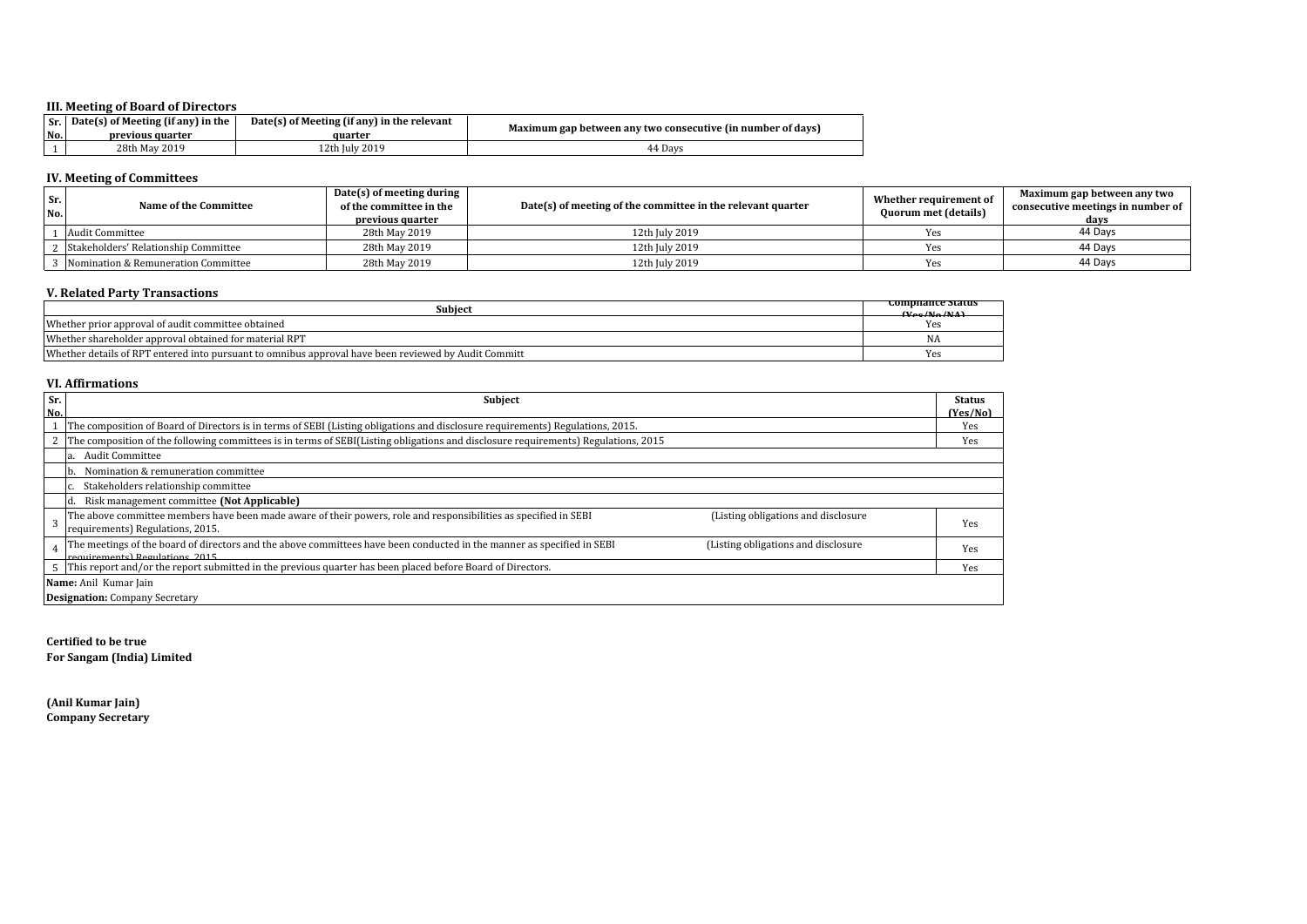### **III. Meeting of Board of Directors**

| No. | $\vert$ Sr. $\vert$ Date(s) of Meeting (if any) in the<br>previous quarter | Date(s) of Meeting (if any) in the relevant<br>auarter | Maximum gap between any two consecutive (in number of days) |
|-----|----------------------------------------------------------------------------|--------------------------------------------------------|-------------------------------------------------------------|
|     | 28th May 2019                                                              | . 2th July 2019                                        | 44 Davs                                                     |

## **IV. Meeting of Committees**

| Sr.<br>No. | Name of the Committee                | Date(s) of meeting during<br>of the committee in the<br>previous quarter | Date(s) of meeting of the committee in the relevant quarter | Whether requirement of<br>Quorum met (details) | Maximum gap between any two<br>consecutive meetings in number of<br>davs |
|------------|--------------------------------------|--------------------------------------------------------------------------|-------------------------------------------------------------|------------------------------------------------|--------------------------------------------------------------------------|
|            | Audit Committee                      | 28th May 2019                                                            | 12th July 2019                                              |                                                | 44 Davs                                                                  |
|            | Stakeholders' Relationship Committee | 28th May 2019                                                            | 12th July 2019                                              |                                                | 44 Davs                                                                  |
|            | Momination & Remuneration Committee  | 28th May 2019                                                            | 12th July 2019                                              |                                                | 44 Davs                                                                  |

## **V. Related Party Transactions**

| Subiect                                                                                                                | combilance status<br>$N_{\rm oo}/N_{\rm o}/N(\Lambda)$ |
|------------------------------------------------------------------------------------------------------------------------|--------------------------------------------------------|
| Whether prior approval of audit committee obtained                                                                     | Yes                                                    |
| Whether shareholder approval obtained for material RPT                                                                 | <b>INA</b>                                             |
| Whether<br>$\alpha$ details of RPT<br>l' entered into pursuant to omnibus approval have been reviewed by Audit Committ | <b>Yes</b>                                             |

#### **VI. Affirmations**

| Sr. | <b>Subject</b>                                                                                                                                                | <b>Status</b> |
|-----|---------------------------------------------------------------------------------------------------------------------------------------------------------------|---------------|
| No. |                                                                                                                                                               | (Yes/No)      |
|     | The composition of Board of Directors is in terms of SEBI (Listing obligations and disclosure requirements) Regulations, 2015.                                | Yes           |
|     | The composition of the following committees is in terms of SEBI(Listing obligations and disclosure requirements) Regulations, 2015                            | Yes           |
|     | <b>Audit Committee</b>                                                                                                                                        |               |
|     | Nomination & remuneration committee<br>Ib.                                                                                                                    |               |
|     | Stakeholders relationship committee                                                                                                                           |               |
|     | Risk management committee (Not Applicable)                                                                                                                    |               |
|     | The above committee members have been made aware of their powers, role and responsibilities as specified in SEBI<br>(Listing obligations and disclosure       | Yes           |
|     | requirements) Regulations, 2015.                                                                                                                              |               |
|     | The meetings of the board of directors and the above committees have been conducted in the manner as specified in SEBI<br>(Listing obligations and disclosure | Yes           |
|     | requirements) Regulations 2015                                                                                                                                |               |
|     | This report and/or the report submitted in the previous quarter has been placed before Board of Directors.                                                    | Yes           |
|     | Name: Anil Kumar Jain                                                                                                                                         |               |
|     | <b>Designation:</b> Company Secretary                                                                                                                         |               |

**Certified to be true For Sangam (India) Limited**

**(Anil Kumar Jain) Company Secretary**